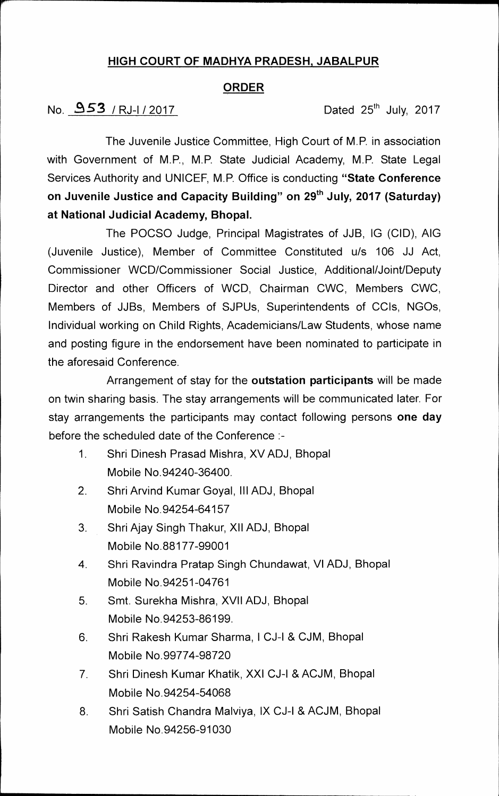## **HIGH COURT OF MADHYA PRADESH, JABALPUR**

### **ORDER**

# **No. 8 53 / RJ-I/ 2017 Dated 25th July, 2017**

**The Juvenile Justice Committee, High Court of M.P. in association with Government of M.P., M.P. State Judicial Academy, M.P. State Legal Services Authority and UNICEF, M.P. Office is conducting "State Conference**  on Juvenile Justice and Capacity Building" on 29<sup>th</sup> July, 2017 (Saturday) **at National Judicial Academy, Bhopal.** 

**The POCSO Judge, Principal Magistrates of JJB, IG (CID), AIG (Juvenile Justice), Member of Committee Constituted u/s 106 JJ Act, Commissioner WCD/Commissioner Social Justice, Additional/Joint/Deputy Director and other Officers of WCD, Chairman CWC, Members CWC, Members of JJBs, Members of SJPUs, Superintendents of CCIs, NG0s, Individual working on Child Rights, Academicians/Law Students, whose name and posting figure in the endorsement have been nominated to participate in the aforesaid Conference.** 

**Arrangement of stay for the outstation participants will be made on twin sharing basis. The stay arrangements will be communicated later. For stay arrangements the participants may contact following persons one day before the scheduled date of the Conference :-** 

- **1. Shri Dinesh Prasad Mishra, XV ADJ, Bhopal Mobile No.94240-36400.**
- **2. Shri Arvind Kumar Goyal, Ill ADJ, Bhopal Mobile No.94254-64157**
- **3. Shri Ajay Singh Thakur, XII ADJ, Bhopal Mobile No.88177-99001**
- **4. Shri Ravindra Pratap Singh Chundawat, VI ADJ, Bhopal Mobile No.94251-04761**
- **5. Smt. Surekha Mishra, XVII ADJ, Bhopal Mobile No.94253-86199.**
- **6. Shri Rakesh Kumar Sharma, I CJ-I & CJM, Bhopal Mobile No.99774-98720**
- **7. Shri Dinesh Kumar Khatik, XXI CJ-I & ACJM, Bhopal Mobile No.94254-54068**
- **8. Shri Satish Chandra Malviya, IX CJ-I & ACJM, Bhopal Mobile No.94256-91030**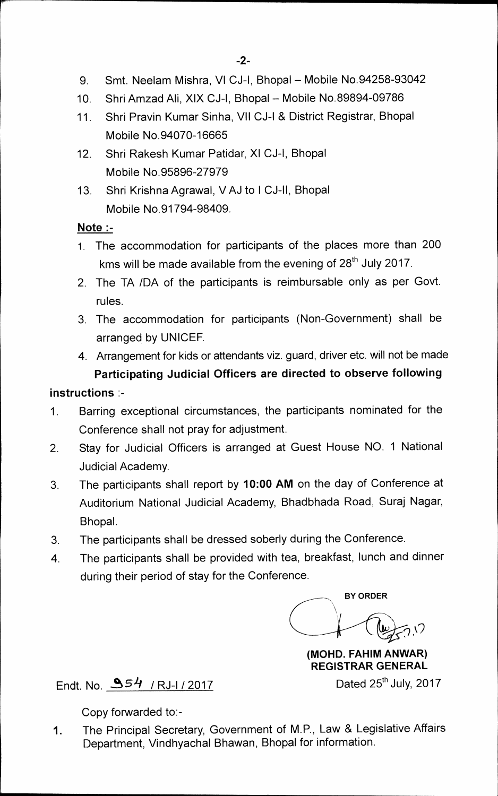- 9. Smt. Neelam Mishra, VI CJ-I, Bhopal Mobile No.94258-93042
- **10. Shri Amzad Ali, XIX CJ-I, Bhopal Mobile No.89894-09786**
- **11. Shri Pravin Kumar Sinha, VII CJ-I & District Registrar, Bhopal Mobile No.94070-16665**
- **12. Shri Rakesh Kumar Patidar, XI CJ-I, Bhopal Mobile No.95896-27979**
- **13. Shri Krishna Agrawal, V AJ to I CJ-II, Bhopal Mobile No.91794-98409.**

### **Note :-**

- **1. The accommodation for participants of the places more than 200**  kms will be made available from the evening of 28<sup>th</sup> July 2017.
- **2. The TA /DA of the participants is reimbursable only as per Govt. rules.**
- **3. The accommodation for participants (Non-Government) shall be arranged by UNICEF.**
- **4. Arrangement for kids or attendants viz, guard, driver etc. will not be made Participating Judicial Officers are directed to observe following**

## **instructions :-**

- **1. Barring exceptional circumstances, the participants nominated for the Conference shall not pray for adjustment.**
- **2. Stay for Judicial Officers is arranged at Guest House NO. 1 National Judicial Academy.**
- **3. The participants shall report by 10:00 AM on the day of Conference at Auditorium National Judicial Academy, Bhadbhada Road, Suraj Nagar, Bhopal.**
- **3. The participants shall be dressed soberly during the Conference.**
- **4. The participants shall be provided with tea, breakfast, lunch and dinner during their period of stay for the Conference.**

**BY ORDER**   $5.0$ 

**(MOHD. FAHIM ANWAR) REGISTRAR GENERAL** 

**Dated 25<sup>th</sup> July, 2017** 

**Endt. No.** *51/* **/ RJ-I / 2017** 

**Copy forwarded to:-** 

**1. The Principal Secretary, Government of M.P., Law & Legislative Affairs Department, Vindhyachal Bhawan, Bhopal for information.**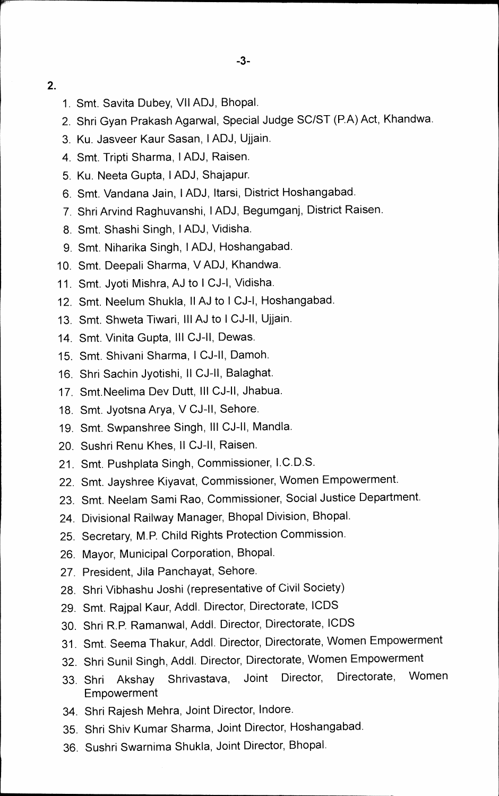**2.** 

- **1. Smt. Savita Dubey, VII ADJ, Bhopal.**
- **2. Shri Gyan Prakash Agarwal, Special Judge SC/ST (P.A) Act, Khandwa.**
- **3. Ku. Jasveer Kaur Sasan, I ADJ, Ujjain.**
- **4. Smt. Tripti Sharma, I ADJ, Raisen.**
- **5. Ku. Neeta Gupta, I ADJ, Shajapur.**
- **6. Smt. Vandana Jain, I ADJ, ltarsi, District Hoshangabad.**
- **7. Shri Arvind Raghuvanshi, I ADJ, Begumganj, District Raisen.**
- **8. Smt. Shashi Singh, I ADJ, Vidisha.**
- **9. Smt. Niharika Singh, I ADJ, Hoshangabad.**
- **10. Smt. Deepali Sharma, V ADJ, Khandwa.**
- **11. Smt. Jyoti Mishra, AJ to I CJ-I, Vidisha.**
- **12. Smt. Neelum Shukla, II AJ to I CJ-I, Hoshangabad.**
- **13. Smt. Shweta Tiwari, III AJ to I CJ-II, Ujjain.**
- **14. Smt. Vinita Gupta, III CJ-II, Dewas.**
- **15. Smt. Shivani Sharma, I CJ-II, Damoh.**
- **16. Shri Sachin Jyotishi, II CJ-II, Balaghat.**
- **17. Smt.Neelima Dev Dutt, Ill CJ-II, Jhabua.**
- **18. Smt. Jyotsna Arya, V CJ-II, Sehore.**
- **19. Smt. Swpanshree Singh, III CJ-II, Mandla.**
- **20. Sushri Renu Khes, II CJ-II, Raisen.**
- **21. Smt. Pushplata Singh, Commissioner, I.C.D.S.**
- **22. Smt. Jayshree Kiyavat, Commissioner, Women Empowerment.**
- **23. Smt. Neelam Sami Rao, Commissioner, Social Justice Department.**
- **24. Divisional Railway Manager, Bhopal Division, Bhopal.**
- **25. Secretary, M.P. Child Rights Protection Commission.**
- **26. Mayor, Municipal Corporation, Bhopal.**
- **27. President, Jila Panchayat, Sehore.**
- **28. Shri Vibhashu Joshi (representative of Civil Society)**
- **29. Smt. Rajpal Kaur, Addl. Director, Directorate, ICDS**
- **30. Shri R.P. Ramanwal, Addl. Director, Directorate, ICDS**
- **31. Smt. Seema Thakur, Addl. Director, Directorate, Women Empowerment**
- **32. Shri Sunil Singh, Addl. Director, Directorate, Women Empowerment**
- **33. Shri Akshay Shrivastava, Joint Director, Directorate, Women Empowerment**
- **34. Shri Rajesh Mehra, Joint Director, Indore.**
- **35. Shri Shiv Kumar Sharma, Joint Director, Hoshangabad.**
- **36. Sushri Swarnima Shukla, Joint Director, Bhopal.**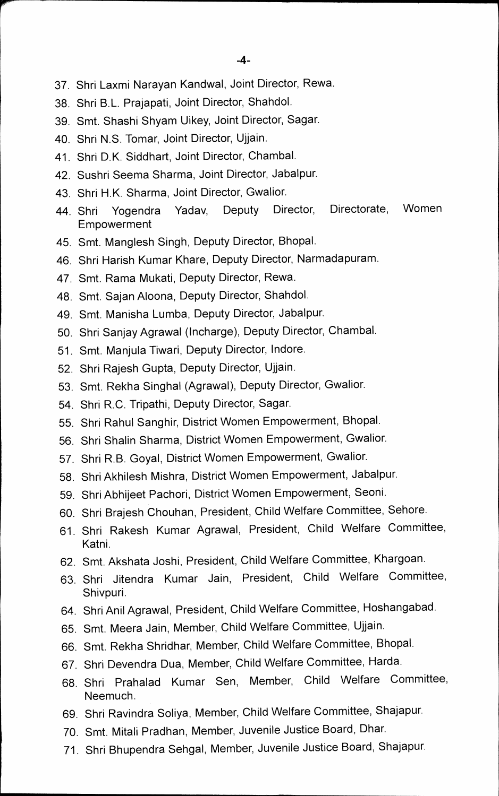- **37. Shri Laxmi Narayan Kandwal, Joint Director, Rewa.**
- **38. Shri B.L. Prajapati, Joint Director, Shahdol.**
- **39. Smt. Shashi Shyam Uikey, Joint Director, Sagar.**
- **40. Shri N.S. Tomar, Joint Director, Ujjain.**
- **41. Shri D.K. Siddhart, Joint Director, Chambal.**
- **42. Sushri Seema Sharma, Joint Director, Jabalpur.**
- **43. Shri H.K. Sharma, Joint Director, Gwalior.**
- **44. Shri Yogendra Yadav, Deputy Director, Directorate, Women Empowerment**
- **45. Smt. Manglesh Singh, Deputy Director, Bhopal.**
- **46. Shri Harish Kumar Khare, Deputy Director, Narmadapuram.**
- **47. Smt. Rama Mukati, Deputy Director, Rewa.**
- **48. Smt. Sajan Aloona, Deputy Director, Shahdol.**
- **49. Smt. Manisha Lumba, Deputy Director, Jabalpur.**
- **50. Shri Sanjay Agrawal (Incharge), Deputy Director, Chambal.**
- **51. Smt. Manjula Tiwari, Deputy Director, lndore.**
- **52. Shri Rajesh Gupta, Deputy Director, Ujjain.**
- **53. Smt. Rekha Singhal (Agrawal), Deputy Director, Gwalior.**
- **54. Shri R.C. Tripathi, Deputy Director, Sagar.**
- **55. Shri Rahul Sanghir, District Women Empowerment, Bhopal.**
- **56. Shri Shalin Sharma, District Women Empowerment, Gwalior.**
- **57. Shri R.B. Goyal, District Women Empowerment, Gwalior.**
- **58. Shri Akhilesh Mishra, District Women Empowerment, Jabalpur.**
- **59. Shri Abhijeet Pachori, District Women Empowerment, Seoni.**
- **60. Shri Brajesh Chouhan, President, Child Welfare Committee, Sehore.**
- **61. Shri Rakesh Kumar Agrawal, President, Child Welfare Committee, Katni.**
- **62. Smt. Akshata Joshi, President, Child Welfare Committee, Khargoan.**
- **63. Shri Jitendra Kumar Jain, President, Child Welfare Committee, Shivpuri.**
- **64. Shri Anil Agrawal, President, Child Welfare Committee, Hoshangabad.**
- **65. Smt. Meera Jain, Member, Child Welfare Committee, Ujjain.**
- **66. Smt. Rekha Shridhar, Member, Child Welfare Committee, Bhopal.**
- **67. Shri Devendra Dua, Member, Child Welfare Committee, Harda.**
- **68. Shri Prahalad Kumar Sen Member, Child Welfare Committee, Neemuch.**
- 69. Shri Ravindra Soliya, Member, Child Welfare Committee, Shajapur.
- **70. Smt. Mitali Pradhan, Member, Juvenile Justice Board, Dhar.**
- **71. Shri Bhupendra Sehgal, Member, Juvenile Justice Board, Shajapur.**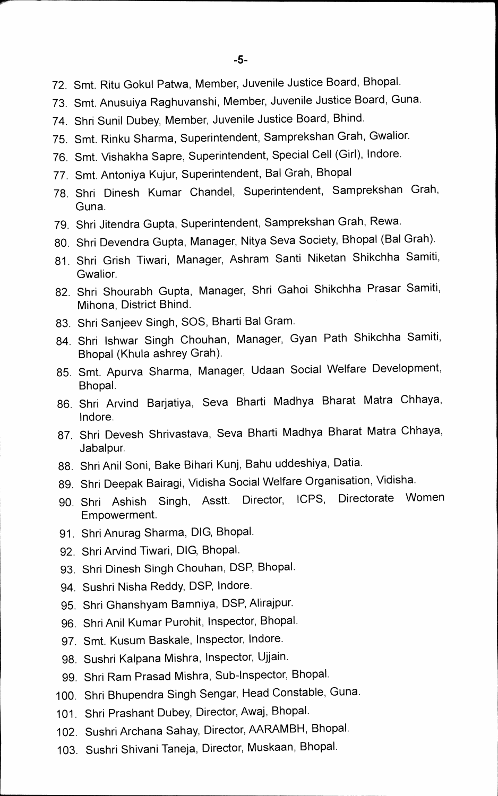- **72. Smt. Ritu Gokul Patwa, Member, Juvenile Justice Board, Bhopal.**
- **73. Smt. Anusuiya Raghuvanshi, Member, Juvenile Justice Board, Guna.**
- **74. Shri Sunil Dubey, Member, Juvenile Justice Board, Bhind.**
- **75. Smt. Rinku Sharma, Superintendent, Samprekshan Grah, Gwalior.**
- **76. Smt. Vishakha Sapre, Superintendent, Special Cell (Girl), Indore.**
- **77. Smt. Antoniya Kujur, Superintendent, Bal Grah, Bhopal**
- **78. Shri Dinesh Kumar Chandel, Superintendent, Samprekshan Grah, Guna.**
- **79. Shri Jitendra Gupta, Superintendent, Samprekshan Grah, Rewa.**
- **80. Shri Devendra Gupta, Manager, Nitya Seva Society, Bhopal (Bal Grah).**
- **81. Shri Grish Tiwari, Manager, Ashram Santi Niketan Shikchha Samiti, Gwalior.**
- **82. Shri Shourabh Gupta, Manager, Shri Gahoi Shikchha Prasar Samiti, Mihona, District Bhind.**
- **83. Shri Sanjeev Singh, SOS, Bharti Bal Gram.**
- **84. Shri Ishwar Singh Chouhan, Manager, Gyan Path Shikchha Samiti, Bhopal (Khula ashrey Grah).**
- **85. Smt. Apurva Sharma, Manager, Udaan Social Welfare Development, Bhopal.**
- **86. Shri Arvind Barjatiya, Seva Bharti Madhya Bharat Matra Chhaya, Indore.**
- **87. Shri Devesh Shrivastava, Seva Bharti Madhya Bharat Matra Chhaya, Jabalpur.**
- **88. Shri Anil Soni, Bake Bihari Kunj, Bahu uddeshiya, Datia.**
- **89. Shri Deepak Bairagi, Vidisha Social Welfare Organisation, Vidisha.**
- **90. Shri Ashish Singh, Asstt. Director, ICPS, Directorate Women Empowerment.**
- **91. Shri Anurag Sharma, DIG, Bhopal.**
- **92. Shri Arvind Tiwari, DIG, Bhopal.**
- **93. Shri Dinesh Singh Chouhan, DSP, Bhopal.**
- **94. Sushri Nisha Reddy, DSP, Indore.**
- **95. Shri Ghanshyam Bamniya, DSP, Alirajpur.**
- **96. Shri Anil Kumar Purohit, Inspector, Bhopal.**
- **97. Smt. Kusum Baskale, Inspector, Indore.**
- **98. Sushri Kalpana Mishra, Inspector, Ujjain.**
- **99. Shri Ram Prasad Mishra, Sub-Inspector, Bhopal.**
- **100. Shri Bhupendra Singh Sengar, Head Constable, Guna.**
- **101. Shri Prashant Dubey, Director, Awaj, Bhopal.**
- **102. Sushri Archana Sahay, Director, AARAMBH, Bhopal.**
- **103. Sushri Shivani Taneja, Director, Muskaan, Bhopal.**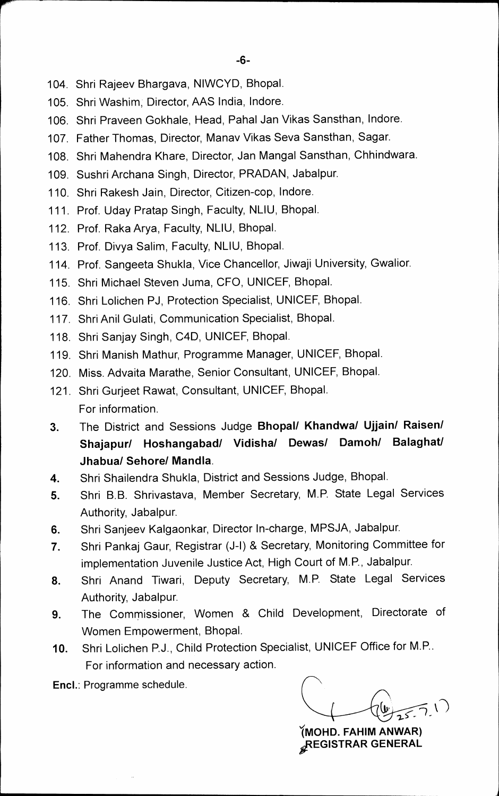- **104. Shri Rajeev Bhargava, NIWCYD, Bhopal.**
- **105. Shri Washim, Director, AAS India, lndore.**
- **106. Shri Praveen Gokhale, Head, Pahal Jan Vikas Sansthan, lndore.**
- **107. Father Thomas, Director, Manav Vikas Seva Sansthan, Sagar.**
- **108. Shri Mahendra Khare, Director, Jan Mangal Sansthan, Chhindwara.**
- **109. Sushri Archana Singh, Director, PRADAN, Jabalpur.**
- **110. Shri Rakesh Jain, Director, Citizen-cop, Indore.**
- **111. Prof. Uday Pratap Singh, Faculty, NLIU, Bhopal.**
- **112. Prof. Raka Arya, Faculty, NLIU, Bhopal.**
- **113. Prof. Divya Salim, Faculty, NLIU, Bhopal.**
- **114. Prof. Sangeeta Shukla, Vice Chancellor, Jiwaji University, Gwalior.**
- **115. Shri Michael Steven Juma, CFO, UNICEF, Bhopal.**
- **116. Shri Lolichen PJ, Protection Specialist, UNICEF, Bhopal.**
- **117. Shri Anil Gulati, Communication Specialist, Bhopal.**
- **118. Shri Sanjay Singh, C4D, UNICEF, Bhopal.**
- **119. Shri Manish Mathur, Programme Manager, UNICEF, Bhopal.**
- **120. Miss. Advaita Marathe, Senior Consultant, UNICEF, Bhopal.**
- **121. Shri Gurjeet Rawat, Consultant, UNICEF, Bhopal. For information.**
- **3. The District and Sessions Judge Bhopal/ Khandwa/ Ujjain/ Raisen/ Shajapur/ Hoshangabad/ Vidisha/ Dewas/ Damoh/ Balaghat/ Jhabua/ Sehore/ Mandla.**
- **4. Shri Shailendra Shukla, District and Sessions Judge, Bhopal.**
- **5. Shri B.B. Shrivastava, Member Secretary, M.P. State Legal Services Authority, Jabalpur.**
- **6. Shri Sanjeev Kalgaonkar, Director In-charge, MPSJA, Jabalpur.**
- **7. Shri Pankaj Gaur, Registrar (J-I) & Secretary, Monitoring Committee for implementation Juvenile Justice Act, High Court of M.P., Jabalpur.**
- **8. Shri Anand Tiwari, Deputy Secretary, M.P. State Legal Services Authority, Jabalpur.**
- **9. The Commissioner, Women & Child Development, Directorate of Women Empowerment, Bhopal.**
- **10. Shri Lolichen P.J., Child Protection Specialist, UNICEF Office for M.P.. For information and necessary action.**

**Encl.: Programme schedule.** 

**(MOHD. FAHIM ANWAR) "EGISTRAR GENERAL**